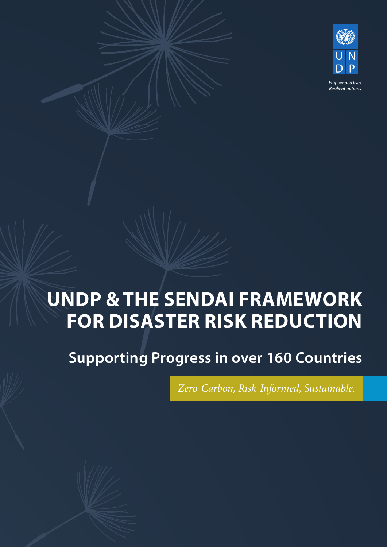

# **UNDP & THE SENDAI FRAMEWORK FOR DISASTER RISK REDUCTION**

**Supporting Progress in over 160 Countries**

*Zero-Carbon, Risk-Informed, Sustainable.*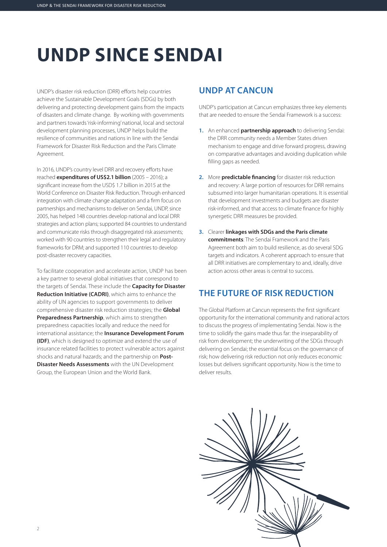# **UNDP SINCE SENDAI**

UNDP's disaster risk reduction (DRR) efforts help countries achieve the Sustainable Development Goals (SDGs) by both delivering and protecting development gains from the impacts of disasters and climate change. By working with governments and partners towards 'risk-informing' national, local and sectoral development planning processes, UNDP helps build the resilience of communities and nations in line with the Sendai Framework for Disaster Risk Reduction and the Paris Climate Agreement.

In 2016, UNDP's country level DRR and recovery efforts have reached **expenditures of US\$2.1 billion** (2005 – 2016); a significant increase from the USD\$ 1.7 billion in 2015 at the World Conference on Disaster Risk Reduction. Through enhanced integration with climate change adaptation and a firm focus on partnerships and mechanisms to deliver on Sendai, UNDP, since 2005, has helped 148 countries develop national and local DRR strategies and action plans; supported 84 countries to understand and communicate risks through disaggregated risk assessments; worked with 90 countries to strengthen their legal and regulatory frameworks for DRM; and supported 110 countries to develop post-disaster recovery capacities.

To facilitate cooperation and accelerate action, UNDP has been a key partner to several global initiatives that correspond to the targets of Sendai. These include the **Capacity for Disaster Reduction Initiative (CADRI)**, which aims to enhance the ability of UN agencies to support governments to deliver comprehensive disaster risk reduction strategies; the **Global Preparedness Partnership**, which aims to strengthen preparedness capacities locally and reduce the need for international assistance; the **Insurance Development Forum (IDF)**, which is designed to optimize and extend the use of insurance related facilities to protect vulnerable actors against shocks and natural hazards; and the partnership on **Post-Disaster Needs Assessments** with the UN Development Group, the European Union and the World Bank.

#### **UNDP AT CANCUN**

UNDP's participation at Cancun emphasizes three key elements that are needed to ensure the Sendai Framework is a success:

- **1.** An enhanced **partnership approach** to delivering Sendai: the DRR community needs a Member States driven mechanism to engage and drive forward progress, drawing on comparative advantages and avoiding duplication while filling gaps as needed.
- **2.** More **predictable financing** for disaster risk reduction and recovery: A large portion of resources for DRR remains subsumed into larger humanitarian operations. It is essential that development investments and budgets are disaster risk-informed, and that access to climate finance for highly synergetic DRR measures be provided.
- **3.** Clearer **linkages with SDGs and the Paris climate commitments**: The Sendai Framework and the Paris Agreement both aim to build resilience, as do several SDG targets and indicators. A coherent approach to ensure that all DRR initiatives are complementary to and, ideally, drive action across other areas is central to success.

#### **THE FUTURE OF RISK REDUCTION**

The Global Platform at Cancun represents the first significant opportunity for the international community and national actors to discuss the progress of implementating Sendai. Now is the time to solidify the gains made thus far: the inseparability of risk from development; the underwriting of the SDGs through delivering on Sendai; the essential focus on the governance of risk; how delivering risk reduction not only reduces economic losses but delivers significant opportunity. Now is the time to deliver results.

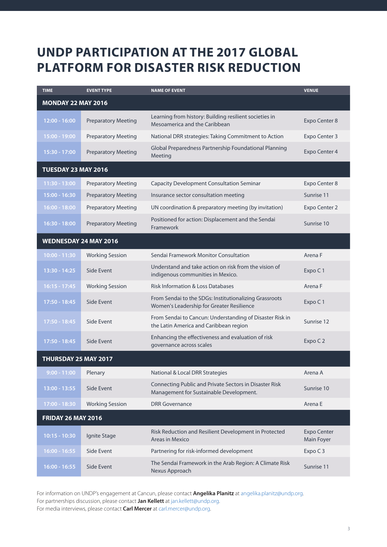## **UNDP PARTICIPATION AT THE 2017 GLOBAL PLATFORM FOR DISASTER RISK REDUCTION**

| <b>TIME</b>                  | <b>EVENT TYPE</b>          | <b>NAME OF EVENT</b>                                                                                | <b>VENUE</b>                     |
|------------------------------|----------------------------|-----------------------------------------------------------------------------------------------------|----------------------------------|
| <b>MONDAY 22 MAY 2016</b>    |                            |                                                                                                     |                                  |
| $12:00 - 16:00$              | <b>Preparatory Meeting</b> | Learning from history: Building resilient societies in<br>Mesoamerica and the Caribbean             | Expo Center 8                    |
| 15:00 - 19:00                | <b>Preparatory Meeting</b> | National DRR strategies: Taking Commitment to Action                                                | Expo Center 3                    |
| 15:30 - 17:00                | <b>Preparatory Meeting</b> | Global Preparedness Partnership Foundational Planning<br>Meeting                                    | <b>Expo Center 4</b>             |
| <b>TUESDAY 23 MAY 2016</b>   |                            |                                                                                                     |                                  |
| $11:30 - 13:00$              | <b>Preparatory Meeting</b> | <b>Capacity Development Consultation Seminar</b>                                                    | Expo Center 8                    |
| $15:00 - 16:30$              | <b>Preparatory Meeting</b> | Insurance sector consultation meeting                                                               | Sunrise 11                       |
| $16:00 - 18:00$              | <b>Preparatory Meeting</b> | UN coordination & preparatory meeting (by invitation)                                               | Expo Center 2                    |
| $16:30 - 18:00$              | <b>Preparatory Meeting</b> | Positioned for action: Displacement and the Sendai<br>Framework                                     | Sunrise 10                       |
| <b>WEDNESDAY 24 MAY 2016</b> |                            |                                                                                                     |                                  |
| $10:00 - 11:30$              | <b>Working Session</b>     | Sendai Framework Monitor Consultation                                                               | Arena F                          |
| 13:30 - 14:25                | Side Event                 | Understand and take action on risk from the vision of<br>indigenous communities in Mexico.          | Expo C1                          |
| $16:15 - 17:45$              | <b>Working Session</b>     | <b>Risk Information &amp; Loss Databases</b>                                                        | Arena F                          |
| 17:50 - 18:45                | Side Event                 | From Sendai to the SDGs: Institutionalizing Grassroots<br>Women's Leadership for Greater Resilience | Expo C1                          |
| 17:50 - 18:45                | Side Event                 | From Sendai to Cancun: Understanding of Disaster Risk in<br>the Latin America and Caribbean region  | Sunrise 12                       |
| 17:50 - 18:45                | Side Event                 | Enhancing the effectiveness and evaluation of risk<br>governance across scales                      | Expo C 2                         |
| THURSDAY 25 MAY 2017         |                            |                                                                                                     |                                  |
| $9:00 - 11:00$               | Plenary                    | National & Local DRR Strategies                                                                     | Arena A                          |
| 13:00 - 13:55                | Side Event                 | Connecting Public and Private Sectors in Disaster Risk<br>Management for Sustainable Development.   | Sunrise 10                       |
| 17:00 - 18:30                | <b>Working Session</b>     | <b>DRR</b> Governance                                                                               | Arena E                          |
| <b>FRIDAY 26 MAY 2016</b>    |                            |                                                                                                     |                                  |
| $10:15 - 10:30$              | Ignite Stage               | Risk Reduction and Resilient Development in Protected<br>Areas in Mexico                            | <b>Expo Center</b><br>Main Foyer |
| $16:00 - 16:55$              | Side Event                 | Partnering for risk-informed development                                                            | Expo C 3                         |
| $16:00 - 16:55$              | Side Event                 | The Sendai Framework in the Arab Region: A Climate Risk<br>Nexus Approach                           | Sunrise 11                       |

For information on UNDP's engagement at Cancun, please contact **Angelika Planitz** at angelika.planitz@undp.org. For partnerships discussion, please contact **Jan Kellett** at jan.kellett@undp.org. For media interviews, please contact **Carl Mercer** at carl.mercer@undp.org.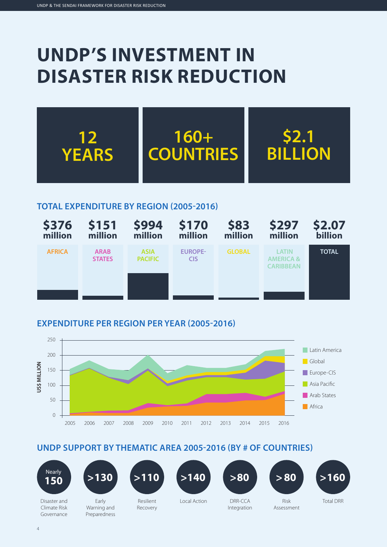## **UNDP'S INVESTMENT IN DISASTER RISK REDUCTION**



#### **TOTAL EXPENDITURE BY REGION (2005-2016)**



#### **EXPENDITURE PER REGION PER YEAR (2005-2016)**



#### **UNDP SUPPORT BY THEMATIC AREA 2005-2016 (BY # OF COUNTRIES)**















Disaster and Climate Risk Governance

Early Warning and Preparedness

Resilient Recovery

Local Action

DRR-CCA Integration

Risk Assessment

Total DRR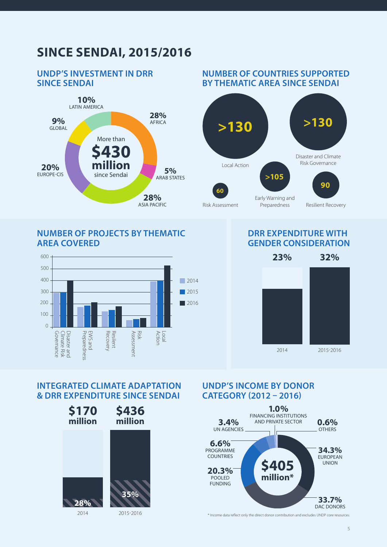## **SINCE SENDAI, 2015/2016**

#### **UNDP'S INVESTMENT IN DRR SINCE SENDAI**



#### **NUMBER OF PROJECTS BY THEMATIC AREA COVERED**



#### **NUMBER OF COUNTRIES SUPPORTED BY THEMATIC AREA SINCE SENDAI**



#### **DRR EXPENDITURE WITH GENDER CONSIDERATION**



#### **INTEGRATED CLIMATE ADAPTATION & DRR EXPENDITURE SINCE SENDAI**



#### **UNDP'S INCOME BY DONOR CATEGORY (2012 – 2016)**



\* Income data reflect only the direct donor contribution and excludes UNDP core resources.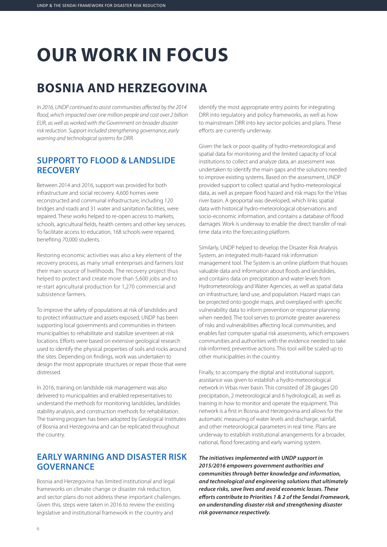# **OUR WORK IN FOCUS**

## **BOSNIA AND HERZEGOVINA**

*In 2016, UNDP continued to assist communities affected by the 2014 flood, which impacted over one million people and cost over 2 billion EUR, as well as worked with the Government on broader disaster risk reduction. Support included strengthening governance, early warning and technological systems for DRR.* 

#### **SUPPORT TO FLOOD & LANDSLIDE RECOVERY**

Between 2014 and 2016, support was provided for both infrastructure and social recovery. 4,600 homes were reconstructed and communal infrastructure, including 120 bridges and roads and 31 water and sanitation facilities, were repaired. These works helped to re-open access to markets, schools, agricultural fields, health centers and other key services. To facilitate access to education, 168 schools were repaired, benefiting 70,000 students.

Restoring economic activities was also a key element of the recovery process, as many small enterprises and farmers lost their main source of livelihoods. The recovery project thus helped to protect and create more than 5,600 jobs and to re-start agricultural production for 1,270 commercial and subsistence farmers.

To improve the safety of populations at risk of landslides and to protect infrastructure and assets exposed, UNDP has been supporting local governments and communities in thirteen municipalities to rehabilitate and stabilize seventeen at-risk locations. Efforts were based on extensive geological research used to identify the physical properties of soils and rocks around the sites. Depending on findings, work was undertaken to design the most appropriate structures or repair those that were distressed.

In 2016, training on landslide risk management was also delivered to municipalities and enabled representatives to understand the methods for monitoring landslides, landslides stability analysis, and construction methods for rehabilitation. The training program has been adopted by Geological Institutes of Bosnia and Herzegovina and can be replicated throughout the country.

#### **EARLY WARNING AND DISASTER RISK GOVERNANCE**

Bosnia and Herzegovina has limited institutional and legal frameworks on climate change or disaster risk reduction, and sector plans do not address these important challenges. Given this, steps were taken in 2016 to review the existing legislative and institutional framework in the country and

identify the most appropriate entry points for integrating DRR into regulatory and policy frameworks, as well as how to mainstream DRR into key sector policies and plans. These efforts are currently underway.

Given the lack or poor quality of hydro-meteorological and spatial data for monitoring and the limited capacity of local institutions to collect and analyze data, an assessment was undertaken to identify the main gaps and the solutions needed to improve existing systems. Based on the assessment, UNDP provided support to collect spatial and hydro-meteorological data, as well as prepare flood hazard and risk maps for the Vrbas river basin. A geoportal was developed, which links spatial data with historical hydro-meteorological observations and socio-economic information, and contains a database of flood damages. Work is underway to enable the direct transfer of realtime data into the forecasting platform.

Similarly, UNDP helped to develop the Disaster Risk Analysis System, an integrated multi-hazard risk information management tool. The System is an online platform that houses valuable data and information about floods and landslides, and contains data on precipitation and water levels from Hydrometeorology and Water Agencies, as well as spatial data on infrastructure, land use, and population. Hazard maps can be projected onto google maps, and overplayed with specific vulnerability data to inform prevention or response planning when needed. The tool serves to promote greater awareness of risks and vulnerabilities affecting local communities, and enables fast computer spatial risk assessments, which empowers communities and authorities with the evidence needed to take risk-informed, preventive actions. This tool will be scaled up to other municipalities in the country.

Finally, to accompany the digital and institutional support, assistance was given to establish a hydro-meteorological network in Vrbas river basin. This consisted of 28 gauges (20 precipitation, 2 meteorological and 6 hydrological), as well as training in how to monitor and operate the equipment. This network is a first in Bosnia and Herzegovina and allows for the automatic measuring of water levels and discharge, rainfall, and other meteorological parameters in real time. Plans are underway to establish institutional arrangements for a broader, national, flood forecasting and early warning system.

*The initiatives implemented with UNDP support in 2015/2016 empowers government authorities and communities through better knowledge and information, and technological and engineering solutions that ultimately reduce risks, save lives and avoid economic losses. These efforts contribute to Priorities 1 & 2 of the Sendai Framework, on understanding disaster risk and strengthening disaster risk governance respectively.*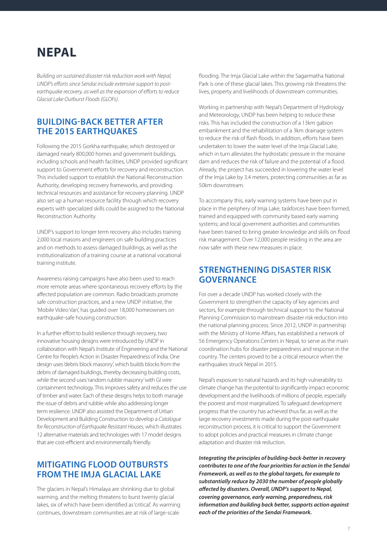### **NEPAL**

*Building on sustained disaster risk reduction work with Nepal, UNDP's efforts since Sendai include extensive support to postearthquake recovery, as well as the expansion of efforts to reduce Glacial Lake Outburst Floods (GLOFs).*

#### **BUILDING-BACK BETTER AFTER THE 2015 EARTHQUAKES**

Following the 2015 Gorkha earthquake, which destroyed or damaged nearly 800,000 homes and government buildings, including schools and health facilities, UNDP provided significant support to Government efforts for recovery and reconstruction. This included support to establish the National Reconstruction Authority, developing recovery frameworks, and providing technical resources and assistance for recovery planning. UNDP also set up a human resource facility through which recovery experts with specialized skills could be assigned to the National Reconstruction Authority.

UNDP's support to longer term recovery also includes training 2,000 local masons and engineers on safe building practices and on methods to assess damaged buildings, as well as the institutionalization of a training course at a national vocational training institute.

Awareness raising campaigns have also been used to reach more remote areas where spontaneous recovery efforts by the affected population are common. Radio broadcasts promote safe construction practices, and a new UNDP initiative, the 'Mobile Video Van', has guided over 18,000 homeowners on earthquake-safe housing construction.

In a further effort to build resilience through recovery, two innovative housing designs were introduced by UNDP in collaboration with Nepal's Institute of Engineering and the National Centre for People's Action in Disaster Preparedness of India. One design uses 'debris block masonry', which builds blocks from the debris of damaged buildings, thereby decreasing building costs, while the second uses 'random rubble masonry' with GI wire containment technology. This improves safety and reduces the use of timber and water. Each of these designs helps to both manage the issue of debris and rubble while also addressing longer term resilience. UNDP also assisted the Department of Urban Development and Building Construction to develop a *Catalogue for Reconstruction of Earthquake Resistant Houses*, which illustrates 12 alternative materials and technologies with 17 model designs that are cost-efficient and environmentally friendly.

#### **MITIGATING FLOOD OUTBURSTS FROM THE IMJA GLACIAL LAKE**

The glaciers in Nepal's Himalaya are shrinking due to global warming, and the melting threatens to burst twenty glacial lakes, six of which have been identified as 'critical'. As warming continues, downstream communities are at risk of large-scale

flooding. The Imja Glacial Lake within the Sagarmatha National Park is one of these glacial lakes. This growing risk threatens the lives, property and livelihoods of downstream communities.

Working in partnership with Nepal's Department of Hydrology and Meteorology, UNDP has been helping to reduce these risks. This has included the construction of a 13km gabion embankment and the rehabilitation of a 3km drainage system to reduce the risk of flash floods. In addition, efforts have been undertaken to lower the water level of the Imja Glacial Lake, which in turn alleviates the hydrostatic pressure in the moraine dam and reduces the risk of failure and the potential of a flood. Already, the project has succeeded in lowering the water level of the Imja Lake by 3.4 meters, protecting communities as far as 50km downstream.

To accompany this, early warning systems have been put in place in the periphery of Imja Lake; taskforces have been formed, trained and equipped with community based early warning systems; and local government authorities and communities have been trained to bring greater knowledge and skills on flood risk management. Over 12,000 people residing in the area are now safer with these new measures in place.

#### **STRENGTHENING DISASTER RISK GOVERNANCE**

For over a decade UNDP has worked closely with the Government to strengthen the capacity of key agencies and sectors, for example through technical support to the National Planning Commission to mainstream disaster risk reduction into the national planning process. Since 2012, UNDP in partnership with the Ministry of Home Affairs, has established a network of 56 Emergency Operations Centers in Nepal, to serve as the main coordination hubs for disaster preparedness and response in the country. The centers proved to be a critical resource when the earthquakes struck Nepal in 2015.

Nepal's exposure to natural hazards and its high vulnerability to climate change has the potential to significantly impact economic development and the livelihoods of millions of people, especially the poorest and most marginalized. To safeguard development progress that the country has achieved thus far, as well as the large recovery investments made during the post-earthquake reconstruction process, it is critical to support the Government to adopt policies and practical measures in climate change adaptation and disaster risk reduction.

*Integrating the principles of building-back-better in recovery contributes to one of the four priorities for action in the Sendai Framework, as well as to the global targets, for example to substantially reduce by 2030 the number of people globally affected by disasters. Overall, UNDP's support to Nepal, covering governance, early warning, preparedness, risk information and building back better, supports action against each of the priorities of the Sendai Framework.*